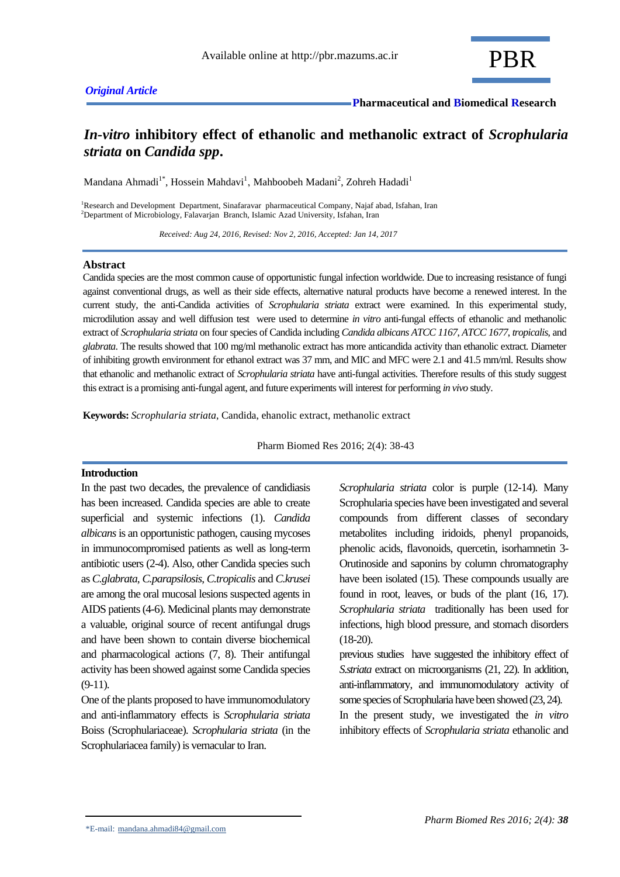# *In-vitro* **inhibitory effect of ethanolic and methanolic extract of** *Scrophularia striata* **on** *Candida spp***.**

Mandana Ahmadi<sup>1\*</sup>, Hossein Mahdavi<sup>1</sup>, Mahboobeh Madani<sup>2</sup>, Zohreh Hadadi<sup>1</sup>

<sup>1</sup>Research and Development Department, Sinafaravar pharmaceutical Company, Najaf abad, Isfahan, Iran <sup>2</sup>Department of Microbiology, Falavarjan Branch, Islamic Azad University, Isfahan, Iran

 *Received: Aug 24, 2016, Revised: Nov 2, 2016, Accepted: Jan 14, 2017*

## **Abstract**

Candida species are the most common cause of opportunistic fungal infection worldwide. Due to increasing resistance of fungi against conventional drugs, as well as their side effects, alternative natural products have become a renewed interest. In the current study, the anti-Candida activities of *Scrophularia striata* extract were examined. In this experimental study, microdilution assay and well diffusion test were used to determine *in vitro* anti-fungal effects of ethanolic and methanolic extract of *Scrophularia striata* on four species of Candida including *Candida albicans ATCC 1167*, *ATCC 1677*, *tropicalis*, and *glabrata*. The results showed that 100 mg/ml methanolic extract has more anticandida activity than ethanolic extract. Diameter of inhibiting growth environment for ethanol extract was 37 mm, and MIC and MFC were 2.1 and 41.5 mm/ml. Results show that ethanolic and methanolic extract of *Scrophularia striata* have anti-fungal activities. Therefore results of this study suggest this extract is a promising anti-fungal agent, and future experiments will interest for performing *in vivo* study.

**Keywords:** *Scrophularia striata*, Candida, ehanolic extract, methanolic extract

Pharm Biomed Res 2016; 2(4): 38-43

## **Introduction**

In the past two decades, the prevalence of candidiasis has been increased. Candida species are able to create superficial and systemic infections (1). *Candida albicans*is an opportunistic pathogen, causing mycoses in immunocompromised patients as well as long-term antibiotic users (2-4). Also, other Candida species such as *C.glabrata*, *C.parapsilosis*, *C.tropicalis* and *C.krusei* are among the oral mucosal lesions suspected agents in AIDS patients (4-6). Medicinal plants may demonstrate a valuable, original source of recent antifungal drugs and have been shown to contain diverse biochemical and pharmacological actions (7, 8). Their antifungal activity has been showed against some Candida species (9-11).

One of the plants proposed to have immunomodulatory and anti-inflammatory effects is *Scrophularia striata* Boiss (Scrophulariaceae). *Scrophularia striata* (in the Scrophulariacea family) is vernacular to Iran.

*Scrophularia striata* color is purple (12-14). Many Scrophularia species have been investigated and several compounds from different classes of secondary metabolites including iridoids, phenyl propanoids, phenolic acids, flavonoids, quercetin, isorhamnetin 3- Orutinoside and saponins by column chromatography have been isolated (15). These compounds usually are found in root, leaves, or buds of the plant (16, 17). *Scrophularia striata* traditionally has been used for infections, high blood pressure, and stomach disorders (18-20).

previous studies have suggested the inhibitory effect of *S.striata* extract on microorganisms (21, 22). In addition, anti-inflammatory, and immunomodulatory activity of some species of Scrophularia have been showed (23, 24).

In the present study, we investigated the *in vitro* inhibitory effects of *Scrophularia striata* ethanolic and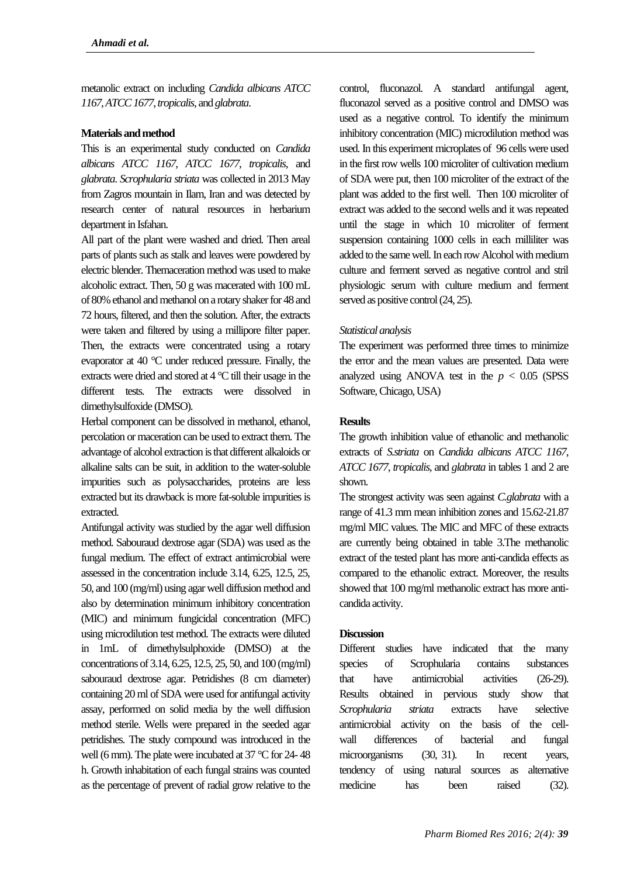metanolic extract on including *Candida albicans ATCC 1167*, *ATCC 1677*, *tropicalis*, and *glabrata*.

## **Materials and method**

This is an experimental study conducted on *Candida albicans ATCC 1167*, *ATCC 1677*, *tropicalis*, and *glabrata*. *Scrophularia striata* was collected in 2013 May from Zagros mountain in Ilam, Iran and was detected by research center of natural resources in herbarium department in Isfahan.

All part of the plant were washed and dried. Then areal parts of plants such as stalk and leaves were powdered by electric blender. Themaceration method was used to make alcoholic extract. Then, 50 g was macerated with 100 mL of 80% ethanol and methanol on a rotary shaker for 48 and 72 hours, filtered, and then the solution. After, the extracts were taken and filtered by using a millipore filter paper. Then, the extracts were concentrated using a rotary evaporator at 40 °C under reduced pressure. Finally, the extracts were dried and stored at 4 °C till their usage in the different tests. The extracts were dissolved in dimethylsulfoxide (DMSO).

Herbal component can be dissolved in methanol, ethanol, percolation or maceration can be used to extract them. The advantage of alcohol extraction is that different alkaloids or alkaline salts can be suit, in addition to the water-soluble impurities such as polysaccharides, proteins are less extracted but its drawback is more fat-soluble impurities is extracted.

Antifungal activity was studied by the agar well diffusion method. Sabouraud dextrose agar (SDA) was used as the fungal medium. The effect of extract antimicrobial were assessed in the concentration include 3.14, 6.25, 12.5, 25, 50, and 100 (mg/ml) using agar well diffusion method and also by determination minimum inhibitory concentration (MIC) and minimum fungicidal concentration (MFC) using microdilution test method. The extracts were diluted in 1mL of dimethylsulphoxide (DMSO) at the concentrations of 3.14, 6.25, 12.5, 25, 50, and 100 (mg/ml) sabouraud dextrose agar. Petridishes (8 cm diameter) containing 20 ml of SDA were used for antifungal activity assay, performed on solid media by the well diffusion method sterile. Wells were prepared in the seeded agar petridishes. The study compound was introduced in the well (6 mm). The plate were incubated at 37 °C for 24- 48 h. Growth inhabitation of each fungal strains was counted as the percentage of prevent of radial grow relative to the

control, fluconazol. A standard antifungal agent, fluconazol served as a positive control and DMSO was used as a negative control. To identify the minimum inhibitory concentration (MIC) microdilution method was used. In this experiment microplates of 96 cells were used in the first row wells 100 microliter of cultivation medium of SDA were put, then 100 microliter of the extract of the plant was added to the first well. Then 100 microliter of extract was added to the second wells and it was repeated until the stage in which 10 microliter of ferment suspension containing 1000 cells in each milliliter was added to the same well. In each row Alcohol with medium culture and ferment served as negative control and stril physiologic serum with culture medium and ferment served as positive control  $(24, 25)$ .

# *Statistical analysis*

The experiment was performed three times to minimize the error and the mean values are presented. Data were analyzed using ANOVA test in the  $p < 0.05$  (SPSS) Software, Chicago, USA)

# **Results**

The growth inhibition value of ethanolic and methanolic extracts of *S.striata* on *Candida albicans ATCC 1167*, *ATCC 1677*, *tropicalis*, and *glabrata* in tables 1 and 2 are shown.

The strongest activity was seen against *C.glabrata* with a range of 41.3 mm mean inhibition zones and 15.62-21.87 mg/ml MIC values. The MIC and MFC of these extracts are currently being obtained in table 3.The methanolic extract of the tested plant has more anti-candida effects as compared to the ethanolic extract. Moreover, the results showed that 100 mg/ml methanolic extract has more anticandida activity.

# **Discussion**

Different studies have indicated that the many species of Scrophularia contains substances that have antimicrobial activities (26-29). Results obtained in pervious study show that *Scrophularia striata* extracts have selective antimicrobial activity on the basis of the cellwall differences of bacterial and fungal microorganisms (30, 31). In recent years, tendency of using natural sources as alternative medicine has been raised (32).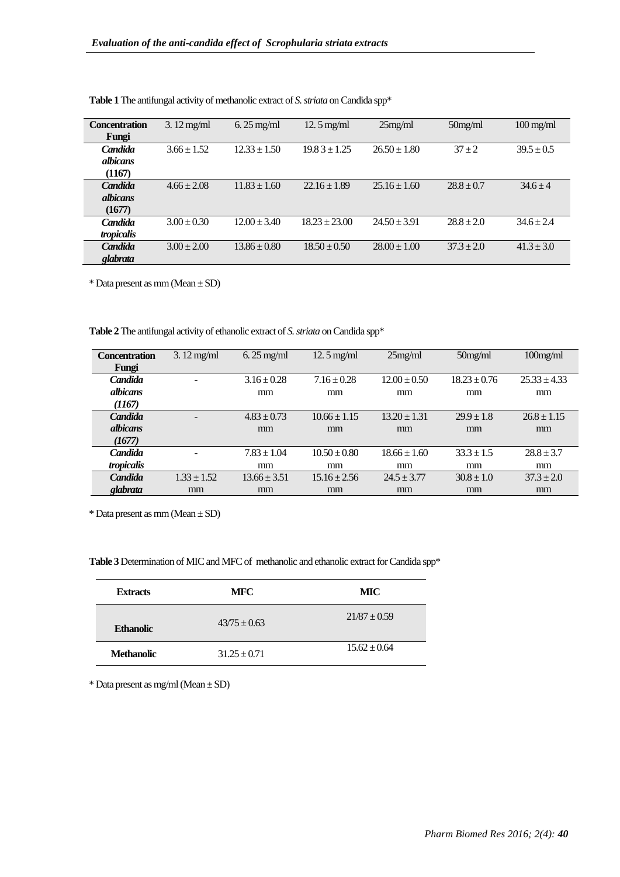| <b>Concentration</b> | $3.12$ mg/ml    | $6.25 \text{ mg/ml}$ | $12.5$ mg/ml      | $25$ mg/ml       | $50$ mg/ml     | $100$ mg/ml    |
|----------------------|-----------------|----------------------|-------------------|------------------|----------------|----------------|
| Fungi                |                 |                      |                   |                  |                |                |
| Candida              | $3.66 \pm 1.52$ | $12.33 \pm 1.50$     | $19.83 \pm 1.25$  | $26.50 \pm 1.80$ | $37 + 2$       | $39.5 \pm 0.5$ |
| albicans             |                 |                      |                   |                  |                |                |
| (1167)               |                 |                      |                   |                  |                |                |
| <b>Candida</b>       | $4.66 \pm 2.08$ | $11.83 \pm 1.60$     | $22.16 \pm 1.89$  | $25.16 \pm 1.60$ | $28.8 \pm 0.7$ | $34.6 + 4$     |
| <i>albicans</i>      |                 |                      |                   |                  |                |                |
| (1677)               |                 |                      |                   |                  |                |                |
| Candida              | $3.00 \pm 0.30$ | $12.00 \pm 3.40$     | $18.23 \pm 23.00$ | $24.50 \pm 3.91$ | $28.8 \pm 2.0$ | $34.6 \pm 2.4$ |
| tropicalis           |                 |                      |                   |                  |                |                |
| <b>Candida</b>       | $3.00 \pm 2.00$ | $13.86 \pm 0.80$     | $18.50 \pm 0.50$  | $28.00 \pm 1.00$ | $37.3 + 2.0$   | $41.3 \pm 3.0$ |
| glabrata             |                 |                      |                   |                  |                |                |

Table 1 The antifungal activity of methanolic extract of *S. striata* on Candida spp\*

 $*$  Data present as mm (Mean  $\pm$  SD)

**Table 2** The antifungal activity of ethanolic extract of *S. striata* on Candida spp\*

| <b>Concentration</b> | $3.12$ mg/ml             | $6.25$ mg/ml     | $12.5$ mg/ml     | $25$ mg/ml       | $50$ mg/ml       | $100$ mg/ml      |
|----------------------|--------------------------|------------------|------------------|------------------|------------------|------------------|
| Fungi                |                          |                  |                  |                  |                  |                  |
| Candida              |                          | $3.16 \pm 0.28$  | $7.16 \pm 0.28$  | $12.00 \pm 0.50$ | $18.23 \pm 0.76$ | $25.33 \pm 4.33$ |
| <i>albicans</i>      |                          | mm               | mm               | mm               | mm               | mm               |
| (1167)               |                          |                  |                  |                  |                  |                  |
| <b>Candida</b>       |                          | $4.83 \pm 0.73$  | $10.66 \pm 1.15$ | $13.20 \pm 1.31$ | $29.9 \pm 1.8$   | $26.8 \pm 1.15$  |
| <i>albicans</i>      |                          | mm               | mm               | mm               | mm               | mm               |
| (1677)               |                          |                  |                  |                  |                  |                  |
| Candida              | $\overline{\phantom{0}}$ | $7.83 \pm 1.04$  | $10.50 \pm 0.80$ | $18.66 \pm 1.60$ | $33.3 \pm 1.5$   | $28.8 \pm 3.7$   |
| tropicalis           |                          | mm               | mm               | mm               | mm               | mm               |
| <b>Candida</b>       | $1.33 \pm 1.52$          | $13.66 \pm 3.51$ | $15.16 \pm 2.56$ | $24.5 \pm 3.77$  | $30.8 \pm 1.0$   | $37.3 \pm 2.0$   |
| glabrata             | mm                       | mm               | mm               | mm               | mm               | mm               |

 $*$  Data present as mm (Mean  $\pm$  SD)

**Table 3** Determination of MIC and MFC of methanolic and ethanolic extract for Candida spp\*

| <b>Extracts</b>   | <b>MFC</b>       | MIC              |  |
|-------------------|------------------|------------------|--|
| <b>Ethanolic</b>  | $43/75 \pm 0.63$ | $21/87 \pm 0.59$ |  |
| <b>Methanolic</b> | $31.25 \pm 0.71$ | $15.62 \pm 0.64$ |  |

 $*$  Data present as mg/ml (Mean  $\pm$  SD)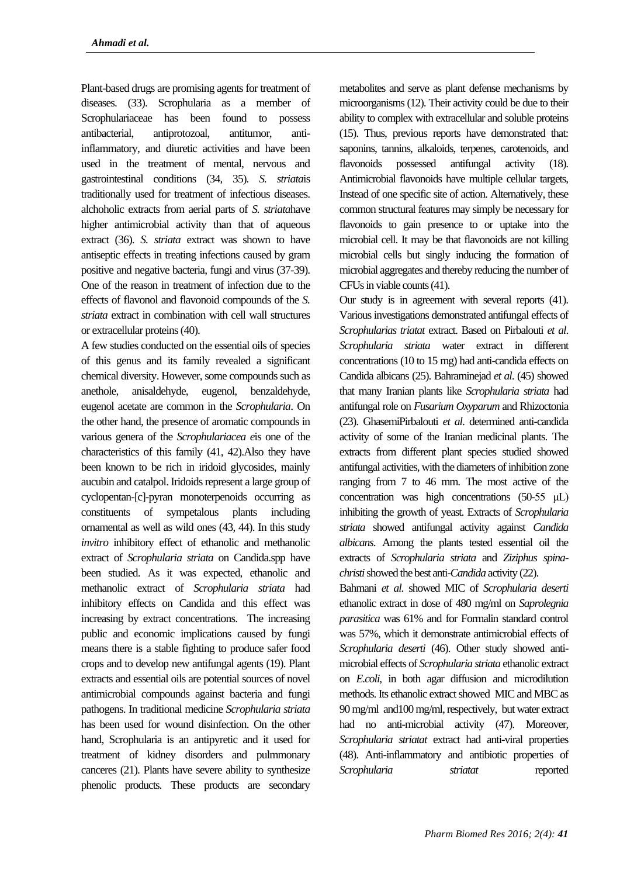Plant-based drugs are promising agents for treatment of diseases. (33). Scrophularia as a member of Scrophulariaceae has been found to possess antibacterial, antiprotozoal, antitumor, antiinflammatory, and diuretic activities and have been used in the treatment of mental, nervous and gastrointestinal conditions (34, 35)*. S. striata*is traditionally used for treatment of infectious diseases. alchoholic extracts from aerial parts of *S. striata*have higher antimicrobial activity than that of aqueous extract (36). *S. striata* extract was shown to have antiseptic effects in treating infections caused by gram positive and negative bacteria, fungi and virus (37-39). One of the reason in treatment of infection due to the effects of flavonol and flavonoid compounds of the *S. striata* extract in combination with cell wall structures or extracellular proteins (40).

A few studies conducted on the essential oils of species of this genus and its family revealed a significant chemical diversity. However, some compounds such as anethole, anisaldehyde, eugenol, benzaldehyde, eugenol acetate are common in the *Scrophularia*. On the other hand, the presence of aromatic compounds in various genera of the *Scrophulariacea e*is one of the characteristics of this family (41, 42).Also they have been known to be rich in iridoid glycosides, mainly aucubin and catalpol. Iridoids represent a large group of cyclopentan-[c]-pyran monoterpenoids occurring as constituents of sympetalous plants including ornamental as well as wild ones (43, 44). In this study *invitro* inhibitory effect of ethanolic and methanolic extract of *Scrophularia striata* on Candida.spp have been studied. As it was expected, ethanolic and methanolic extract of *Scrophularia striata* had inhibitory effects on Candida and this effect was increasing by extract concentrations. The increasing public and economic implications caused by fungi means there is a stable fighting to produce safer food crops and to develop new antifungal agents (19). Plant extracts and essential oils are potential sources of novel antimicrobial compounds against bacteria and fungi pathogens. In traditional medicine *Scrophularia striata* has been used for wound disinfection. On the other hand, Scrophularia is an antipyretic and it used for treatment of kidney disorders and pulmmonary canceres (21). Plants have severe ability to synthesize phenolic products. These products are secondary metabolites and serve as plant defense mechanisms by microorganisms (12). Their activity could be due to their ability to complex with extracellular and soluble proteins (15). Thus, previous reports have demonstrated that: saponins, tannins, alkaloids, terpenes, carotenoids, and flavonoids possessed antifungal activity (18). Antimicrobial flavonoids have multiple cellular targets, Instead of one specific site of action. Alternatively, these common structural features may simply be necessary for flavonoids to gain presence to or uptake into the microbial cell. It may be that flavonoids are not killing microbial cells but singly inducing the formation of microbial aggregates and thereby reducing the number of CFUs in viable counts (41).

Our study is in agreement with several reports (41). Various investigations demonstrated antifungal effects of *Scrophularias triatat* extract. Based on Pirbalouti *et al*. *Scrophularia striata* water extract in different concentrations (10 to 15 mg) had anti-candida effects on Candida albicans (25). Bahraminejad *et al*. (45) showed that many Iranian plants like *Scrophularia striata* had antifungal role on *Fusarium Oxyparum* and Rhizoctonia (23). GhasemiPirbalouti *et al*. determined anti-candida activity of some of the Iranian medicinal plants. The extracts from different plant species studied showed antifungal activities, with the diameters of inhibition zone ranging from 7 to 46 mm. The most active of the concentration was high concentrations (50-55 μL) inhibiting the growth of yeast. Extracts of *Scrophularia striata* showed antifungal activity against *Candida albicans*. Among the plants tested essential oil the extracts of *Scrophularia striata* and *Ziziphus spinachristi*showed the best anti-*Candida* activity (22).

Bahmani *et al*. showed MIC of *Scrophularia deserti* ethanolic extract in dose of 480 mg/ml on *Saprolegnia parasitica* was 61% and for Formalin standard control was 57%, which it demonstrate antimicrobial effects of *Scrophularia deserti* (46). Other study showed antimicrobial effects of *Scrophularia striata* ethanolic extract on *E.coli*, in both agar diffusion and microdilution methods. Its ethanolic extract showed MIC and MBC as 90 mg/ml and100 mg/ml, respectively, but water extract had no anti-microbial activity (47). Moreover, *Scrophularia striatat* extract had anti-viral properties (48). Anti-inflammatory and antibiotic properties of *Scrophularia striatat* reported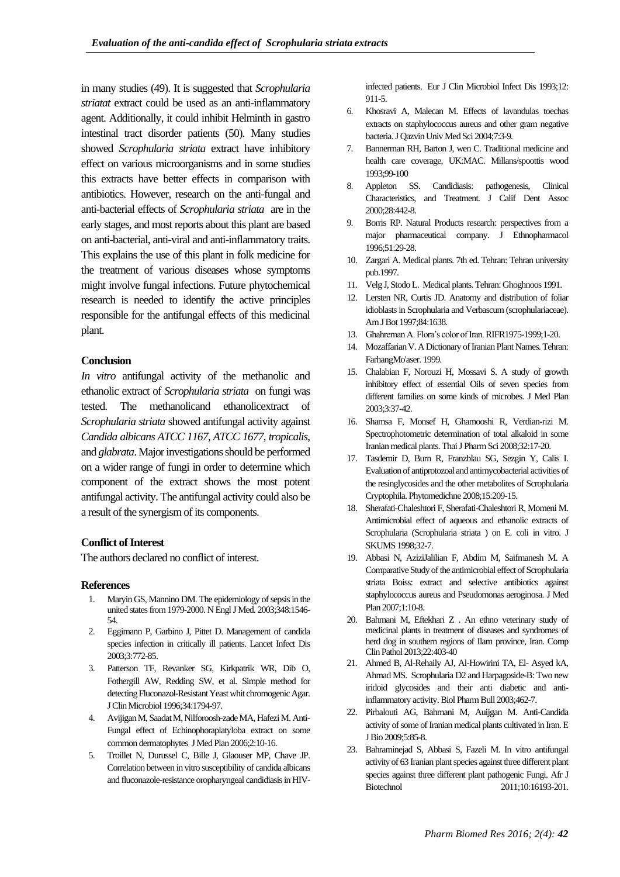in many studies (49). It is suggested that *Scrophularia striatat* extract could be used as an anti-inflammatory agent. Additionally, it could inhibit Helminth in gastro intestinal tract disorder patients (50). Many studies showed *Scrophularia striata* extract have inhibitory effect on various microorganisms and in some studies this extracts have better effects in comparison with antibiotics. However, research on the anti-fungal and anti-bacterial effects of *Scrophularia striata* are in the early stages, and most reports about this plant are based on anti-bacterial, anti-viral and anti-inflammatory traits. This explains the use of this plant in folk medicine for the treatment of various diseases whose symptoms might involve fungal infections. Future phytochemical research is needed to identify the active principles responsible for the antifungal effects of this medicinal plant.

# **Conclusion**

*In vitro* antifungal activity of the methanolic and ethanolic extract of *Scrophularia striata* on fungi was tested. The methanolicand ethanolicextract of *Scrophularia striata* showed antifungal activity against *Candida albicans ATCC 1167*, *ATCC 1677*, *tropicalis*, and *glabrata*. Major investigations should be performed on a wider range of fungi in order to determine which component of the extract shows the most potent antifungal activity. The antifungal activity could also be a result of the synergism of its components.

#### **Conflict of Interest**

The authors declared no conflict of interest.

### **References**

- 1. Maryin GS, Mannino DM. The epidemiology of sepsis in the united states from 1979-2000. N Engl J Med. 2003;348:1546- 54.
- 2. Eggimann P, Garbino J, Pittet D. Management of candida species infection in critically ill patients. [Lancet Infect Dis](https://www.ncbi.nlm.nih.gov/pubmed/14652203) 2003;3:772-85.
- 3. Patterson TF, Revanker SG, Kirkpatrik WR, Dib O, Fothergill AW, Redding SW, et al. Simple method for detecting Fluconazol-Resistant Yeast whit chromogenic Agar. [J Clin Microbiol](https://www.ncbi.nlm.nih.gov/pubmed/8784592) 1996;34:1794-97.
- 4. Avijigan M, Saadat M, Nilforoosh-zade MA, Hafezi M. Anti-Fungal effect of Echinophoraplatyloba extract on some common dermatophytes [JMed Plan 2](https://www.google.com/url?sa=t&rct=j&q=&esrc=s&source=web&cd=4&cad=rja&uact=8&ved=0ahUKEwiHscb2q6PRAhVOO1AKHbJKC2kQ0gIILygBMAM&url=http%3A%2F%2Fwww.academicjournals.org%2Fjournal%2FJMPR%2Fabout&usg=AFQjCNFghM654HtxbfCqD2QHJi_1l9TQZw&sig2=xu_bjr89w7mGJFs7cFjR9A&bvm=bv.142059868,d.d2s)006;2:10-16.
- 5. Troillet N, Durussel C, Bille J, Glaouser MP, Chave JP. Correlation between in vitro susceptibility of candida albicans and fluconazole-resistance oropharyngeal candidiasis in HIV-

infected patients. [Eur J Clin Microbiol Infect Dis](https://www.ncbi.nlm.nih.gov/pubmed/8187785) 1993;12: 911-5.

- 6. Khosravi A, Malecan M. Effects of lavandulas toechas extracts on staphylococcus aureus and other gram negative bacteria[.J Qazvin Univ Med Sci](http://journal.qums.ac.ir/browse.php?mag_id=13&slc_lang=en&sid=1) 2004;7:3-9.
- 7. Bannerman RH, Barton J, wen C. Traditional medicine and health care coverage, UK:MAC. Millans/spoottis wood 1993;99-100
- 8. Appleton SS. Candidiasis: pathogenesis, Clinical Characteristics, and Treatment. J Calif Dent Assoc 2000;28:442-8.
- 9. Borris RP. Natural Products research: perspectives from a major pharmaceutical company. J Ethnopharmacol 1996;51:29-28.
- 10. Zargari A. Medical plants. 7th ed. Tehran: Tehran university pub.1997.
- 11. Velg J, Stodo L. Medical plants. Tehran: Ghoghnoos 1991.
- 12. Lersten NR, Curtis JD. Anatomy and distribution of foliar idioblasts in Scrophularia and Verbascum (scrophulariaceae). [Am J Bot](https://www.ncbi.nlm.nih.gov/pubmed/21708567) 1997;84:1638.
- 13. Ghahreman A. Flora's color of Ira[n. RIFR1](https://www.google.com/url?sa=t&rct=j&q=&esrc=s&source=web&cd=1&ved=0ahUKEwid6bC1pJ7RAhWUMVAKHQ1OBzMQFggaMAA&url=http%3A%2F%2Fwww.rifr-ac.org%2FEN%2FDefault.aspx&usg=AFQjCNG_WE3sIzqtGEbKBtgvPN6U2MTl0A&sig2=bdAO4kfko5nZmnaE0hMxDQ&bvm=bv.142059868,d.ZWM&cad=rja)975-1999;1-20.
- 14. Mozaffarian V. A Dictionary of Iranian Plant Names. Tehran: FarhangMo'aser. 1999.
- 15. Chalabian F, Norouzi H, Mossavi S. A study of growth inhibitory effect of essential Oils of seven species from different families on some kinds of microbes. [J Med Plan](https://www.google.com/url?sa=t&rct=j&q=&esrc=s&source=web&cd=4&cad=rja&uact=8&ved=0ahUKEwiHscb2q6PRAhVOO1AKHbJKC2kQ0gIILygBMAM&url=http%3A%2F%2Fwww.academicjournals.org%2Fjournal%2FJMPR%2Fabout&usg=AFQjCNFghM654HtxbfCqD2QHJi_1l9TQZw&sig2=xu_bjr89w7mGJFs7cFjR9A&bvm=bv.142059868,d.d2s)  2003;3:37-42.
- 16. Shamsa F, Monsef H, Ghamooshi R, Verdian-rizi M. Spectrophotometric determination of total alkaloid in some Iranian medical plants. Thai J Pharm Sci 2008;32:17-20.
- 17. Tasdemir D, Burn R, Franzblau SG, Sezgin Y, Calis I. Evaluation of antiprotozoal and antimycobacterial activities of the resinglycosides and the other metabolites of Scrophularia Cryptophila. Phytomedichne 2008;15:209-15.
- 18. Sherafati-Chaleshtori F, Sherafati-Chaleshtori R, Momeni M. Antimicrobial effect of aqueous and ethanolic extracts of Scrophularia (Scrophularia striata ) on E. coli in vitro. J SKUMS 1998;32-7.
- 19. Abbasi N, AziziJalilian F, Abdim M, Saifmanesh M. A Comparative Study of the antimicrobial effect of Scrophularia striata Boiss: extract and selective antibiotics against staphylococcus aureus and Pseudomonas aeroginosa. J Med Plan 2007;1:10-8.
- 20. Bahmani M, Eftekhari Z . An ethno veterinary study of medicinal plants in treatment of diseases and syndromes of herd dog in southern regions of Ilam province, Iran. Comp Clin Pathol 2013;22:403-40
- 21. Ahmed B, Al-Rehaily AJ, Al-Howirini TA, El- Asyed kA, Ahmad MS. Scrophularia D2 and Harpagoside-B: Two new iridoid glycosides and their anti diabetic and antiinflammatory activity. Biol Pharm Bull 2003;462-7.
- 22. Pirbalouti AG, Bahmani M, Auijgan M. Anti-Candida activity of some of Iranian medical plants cultivated in Iran. E J Bio 2009;5:85-8.
- 23. Bahraminejad S, Abbasi S, Fazeli M. In vitro antifungal activity of 63 Iranian plant species against three different plant species against three different plant pathogenic Fungi. Afr J Biotechnol 2011:10:16193-201.